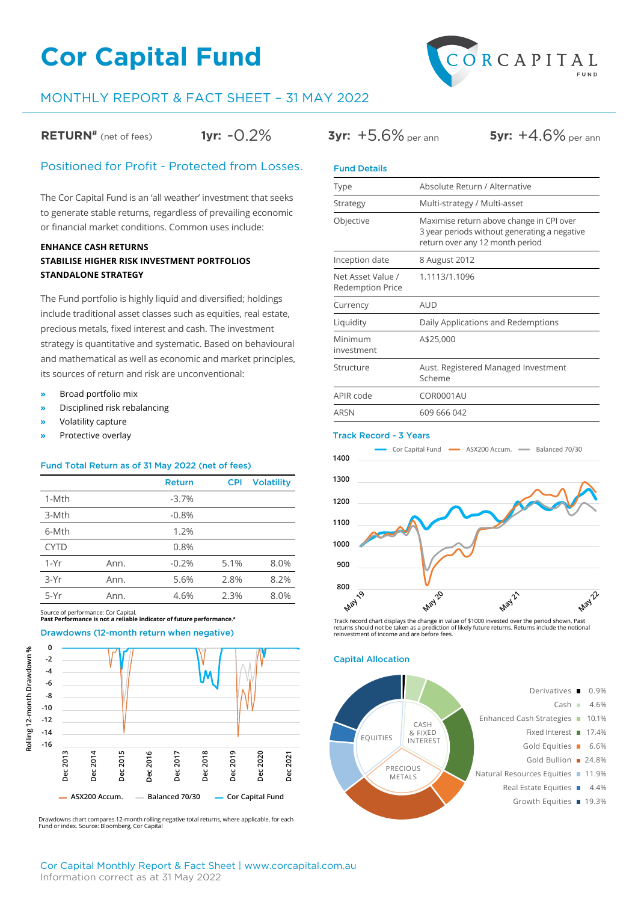# **Cor Capital Fund**



## MONTHLY REPORT & FACT SHEET – 31 MAY 2022

**RETURN<sup>#</sup>** (net of fees) **1yr:**  $-0.2\%$  **3yr:**  $+5.6\%$  per ann **5yr:**  $+4.6\%$  per ann

### Positioned for Profit - Protected from Losses.

The Cor Capital Fund is an 'all weather' investment that seeks to generate stable returns, regardless of prevailing economic or financial market conditions. Common uses include:

### **ENHANCE CASH RETURNS STABILISE HIGHER RISK INVESTMENT PORTFOLIOS STANDALONE STRATEGY**

The Fund portfolio is highly liquid and diversified; holdings include traditional asset classes such as equities, real estate, precious metals, fixed interest and cash. The investment strategy is quantitative and systematic. Based on behavioural and mathematical as well as economic and market principles, its sources of return and risk are unconventional:

- **»** Broad portfolio mix
- **»** Disciplined risk rebalancing
- **»** Volatility capture
- **»** Protective overlay

#### Fund Total Return as of 31 May 2022 (net of fees)

|             |      | Return  | <b>CPI</b> | <b>Volatility</b> |  |  |
|-------------|------|---------|------------|-------------------|--|--|
| 1-Mth       |      | $-3.7%$ |            |                   |  |  |
| 3-Mth       |      | $-0.8%$ |            |                   |  |  |
| 6-Mth       |      | 1.2%    |            |                   |  |  |
| <b>CYTD</b> |      | 0.8%    |            |                   |  |  |
| $1-Yr$      | Ann. | $-0.2%$ | 5.1%       | 8.0%              |  |  |
| $3-Yr$      | Ann. | 5.6%    | 2.8%       | 8.2%              |  |  |
| 5-Yr        | Ann. | 4.6%    | 2.3%       | 8.0%              |  |  |

Source of performance: Cor Capital. **Past Performance is not a reliable indicator of future performance.#**



Drawdowns chart compares 12-month rolling negative total returns, where applicable, for each Fund or index. Source: Bloomberg, Cor Capital

| <b>Fund Details</b>                          |                                                                                                                             |
|----------------------------------------------|-----------------------------------------------------------------------------------------------------------------------------|
| Type                                         | Absolute Return / Alternative                                                                                               |
| Strategy                                     | Multi-strategy / Multi-asset                                                                                                |
| Objective                                    | Maximise return above change in CPI over<br>3 year periods without generating a negative<br>return over any 12 month period |
| Inception date                               | 8 August 2012                                                                                                               |
| Net Asset Value /<br><b>Redemption Price</b> | 1.1113/1.1096                                                                                                               |
| Currency                                     | <b>AUD</b>                                                                                                                  |
| Liquidity                                    | Daily Applications and Redemptions                                                                                          |
| Minimum<br>investment                        | A\$25,000                                                                                                                   |
| Structure                                    | Aust. Registered Managed Investment<br>Scheme                                                                               |
| APIR code                                    | COR0001AU                                                                                                                   |
| ARSN                                         | 609 666 042                                                                                                                 |

#### Track Record - 3 Years



Track record chart displays the change in value of \$1000 invested over the period shown. Past<br>returns should not be taken as a prediction of likely future returns. Returns include the notional<br>reinvestment of income and ar

#### Capital Allocation

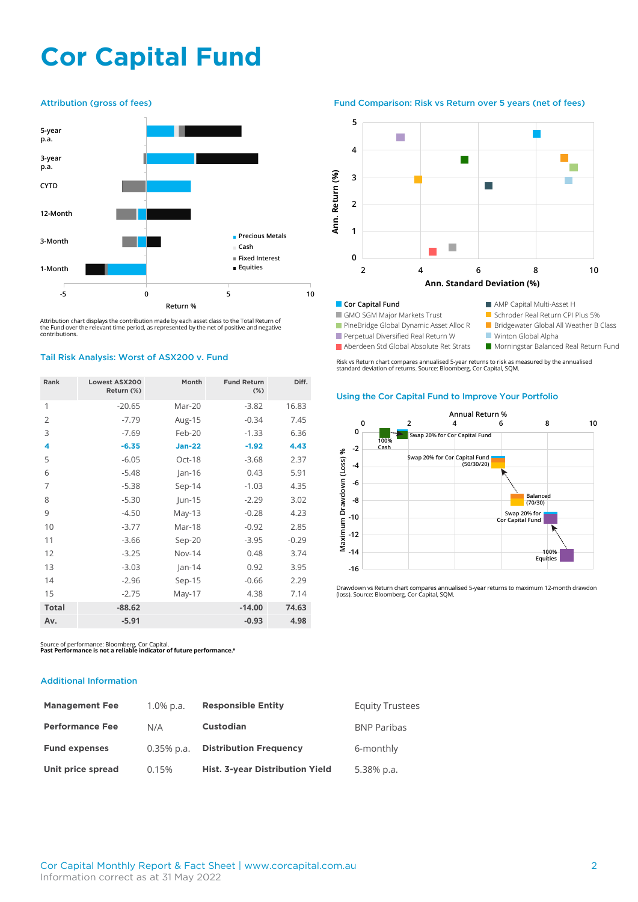# **Cor Capital Fund**



Attribution chart displays the contribution made by each asset class to the Total Return of the Fund over the relevant time period, as represented by the net of positive and negative contributions.

#### Tail Risk Analysis: Worst of ASX200 v. Fund

| Rank           | <b>Lowest ASX200</b><br>Return (%) | Month         | <b>Fund Return</b><br>$(\%)$ | Diff.   |
|----------------|------------------------------------|---------------|------------------------------|---------|
| 1              | $-20.65$                           | Mar-20        | $-3.82$                      | 16.83   |
| $\overline{2}$ | $-7.79$                            | Aug-15        | $-0.34$                      | 7.45    |
| 3              | $-7.69$                            | Feb-20        | $-1.33$                      | 6.36    |
| 4              | $-6.35$                            | <b>Jan-22</b> | $-1.92$                      | 4.43    |
| 5              | $-6.05$                            | Oct-18        | $-3.68$                      | 2.37    |
| 6              | $-5.48$                            | $Jan-16$      | 0.43                         | 5.91    |
| 7              | $-5.38$                            | $Sep-14$      | $-1.03$                      | 4.35    |
| 8              | $-5.30$                            | $\mu$ n-15    | $-2.29$                      | 3.02    |
| 9              | $-4.50$                            | $May-13$      | $-0.28$                      | 4.23    |
| 10             | $-3.77$                            | Mar-18        | $-0.92$                      | 2.85    |
| 11             | $-3.66$                            | Sep-20        | $-3.95$                      | $-0.29$ |
| 12             | $-3.25$                            | <b>Nov-14</b> | 0.48                         | 3.74    |
| 13             | $-3.03$                            | $ an-14$      | 0.92                         | 3.95    |
| 14             | $-2.96$                            | Sep-15        | $-0.66$                      | 2.29    |
| 15             | $-2.75$                            | May-17        | 4.38                         | 7.14    |
| <b>Total</b>   | $-88.62$                           |               | $-14.00$                     | 74.63   |
| Av.            | $-5.91$                            |               | $-0.93$                      | 4.98    |

Source of performance: Bloomberg, Cor Capital. **Past Performance is not a reliable indicator of future performance.#**

#### Additional Information

| <b>Management Fee</b>  | $1.0\%$ p.a.  | <b>Responsible Entity</b>       | <b>Equity Trustees</b> |
|------------------------|---------------|---------------------------------|------------------------|
| <b>Performance Fee</b> | N/A           | <b>Custodian</b>                | <b>BNP Paribas</b>     |
| <b>Fund expenses</b>   | $0.35\%$ p.a. | <b>Distribution Frequency</b>   | 6-monthly              |
| Unit price spread      | 0.15%         | Hist. 3-year Distribution Yield | 5.38% p.a.             |

Attribution (gross of fees) Fund Comparison: Risk vs Return over 5 years (net of fees)



GMO SGM Major Markets Trust

**PineBridge Global Dynamic Asset Alloc R** 

**Perpetual Diversified Real Return W** Aberdeen Std Global Absolute Ret Strats

Winton Global Alpha

Schroder Real Return CPI Plus 5% **Bridgewater Global All Weather B Class** 

**Morningstar Balanced Real Return Fund** 

Risk vs Return chart compares annualised 5-year returns to risk as measured by the annualised standard deviation of returns. Source: Bloomberg, Cor Capital, SQM.

### Using the Cor Capital Fund to Improve Your Portfolio



Drawdown vs Return chart compares annualised 5-year returns to maximum 12-month drawdon